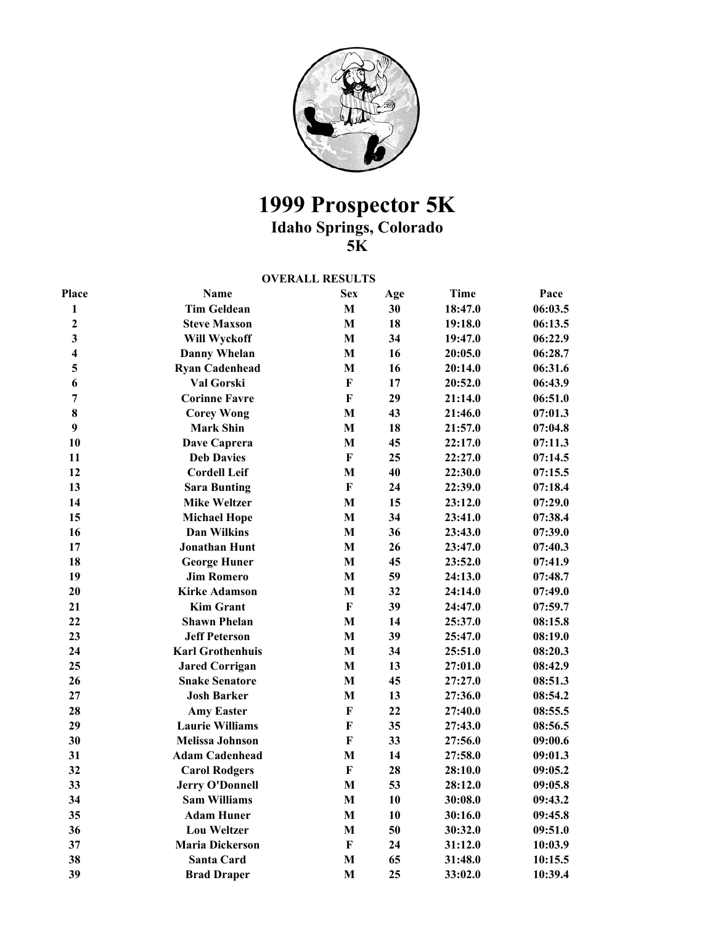

## **1999 Prospector 5K**

**Idaho Springs, Colorado** 

**5K** 

## **OVERALL RESULTS**

| Place                   | <b>Name</b>             | <b>Sex</b>   | Age | <b>Time</b> | Pace    |
|-------------------------|-------------------------|--------------|-----|-------------|---------|
| $\mathbf{1}$            | <b>Tim Geldean</b>      | $\mathbf M$  | 30  | 18:47.0     | 06:03.5 |
| $\overline{2}$          | <b>Steve Maxson</b>     | $\mathbf{M}$ | 18  | 19:18.0     | 06:13.5 |
| $\overline{\mathbf{3}}$ | Will Wyckoff            | $\mathbf M$  | 34  | 19:47.0     | 06:22.9 |
| $\overline{\mathbf{4}}$ | <b>Danny Whelan</b>     | $\mathbf{M}$ | 16  | 20:05.0     | 06:28.7 |
| 5                       | <b>Ryan Cadenhead</b>   | $\mathbf{M}$ | 16  | 20:14.0     | 06:31.6 |
| 6                       | Val Gorski              | $\mathbf{F}$ | 17  | 20:52.0     | 06:43.9 |
| $\overline{7}$          | <b>Corinne Favre</b>    | $\mathbf F$  | 29  | 21:14.0     | 06:51.0 |
| 8                       | <b>Corey Wong</b>       | $\mathbf{M}$ | 43  | 21:46.0     | 07:01.3 |
| 9                       | <b>Mark Shin</b>        | $\mathbf{M}$ | 18  | 21:57.0     | 07:04.8 |
| 10                      | Dave Caprera            | $\mathbf{M}$ | 45  | 22:17.0     | 07:11.3 |
| 11                      | <b>Deb Davies</b>       | $\mathbf F$  | 25  | 22:27.0     | 07:14.5 |
| 12                      | <b>Cordell Leif</b>     | $\mathbf{M}$ | 40  | 22:30.0     | 07:15.5 |
| 13                      | <b>Sara Bunting</b>     | $\bf F$      | 24  | 22:39.0     | 07:18.4 |
| 14                      | <b>Mike Weltzer</b>     | M            | 15  | 23:12.0     | 07:29.0 |
| 15                      | <b>Michael Hope</b>     | $\mathbf M$  | 34  | 23:41.0     | 07:38.4 |
| 16                      | <b>Dan Wilkins</b>      | $\mathbf{M}$ | 36  | 23:43.0     | 07:39.0 |
| 17                      | <b>Jonathan Hunt</b>    | $\mathbf{M}$ | 26  | 23:47.0     | 07:40.3 |
| 18                      | <b>George Huner</b>     | $\mathbf{M}$ | 45  | 23:52.0     | 07:41.9 |
| 19                      | <b>Jim Romero</b>       | $\mathbf M$  | 59  | 24:13.0     | 07:48.7 |
| 20                      | <b>Kirke Adamson</b>    | $\mathbf{M}$ | 32  | 24:14.0     | 07:49.0 |
| 21                      | <b>Kim Grant</b>        | $\bf F$      | 39  | 24:47.0     | 07:59.7 |
| 22                      | <b>Shawn Phelan</b>     | M            | 14  | 25:37.0     | 08:15.8 |
| 23                      | <b>Jeff Peterson</b>    | $\mathbf M$  | 39  | 25:47.0     | 08:19.0 |
| 24                      | <b>Karl Grothenhuis</b> | $\mathbf{M}$ | 34  | 25:51.0     | 08:20.3 |
| 25                      | <b>Jared Corrigan</b>   | $\mathbf{M}$ | 13  | 27:01.0     | 08:42.9 |
| 26                      | <b>Snake Senatore</b>   | $\mathbf{M}$ | 45  | 27:27.0     | 08:51.3 |
| 27                      | <b>Josh Barker</b>      | $\mathbf{M}$ | 13  | 27:36.0     | 08:54.2 |
| 28                      | <b>Amy Easter</b>       | F            | 22  | 27:40.0     | 08:55.5 |
| 29                      | <b>Laurie Williams</b>  | F            | 35  | 27:43.0     | 08:56.5 |
| 30                      | <b>Melissa Johnson</b>  | $\mathbf{F}$ | 33  | 27:56.0     | 09:00.6 |
| 31                      | <b>Adam Cadenhead</b>   | $\mathbf M$  | 14  | 27:58.0     | 09:01.3 |
| 32                      | <b>Carol Rodgers</b>    | $\mathbf F$  | 28  | 28:10.0     | 09:05.2 |
| 33                      | <b>Jerry O'Donnell</b>  | M            | 53  | 28:12.0     | 09:05.8 |
| 34                      | <b>Sam Williams</b>     | $\mathbf{M}$ | 10  | 30:08.0     | 09:43.2 |
| 35                      | <b>Adam Huner</b>       | $\mathbf M$  | 10  | 30:16.0     | 09:45.8 |
| 36                      | <b>Lou Weltzer</b>      | $\mathbf M$  | 50  | 30:32.0     | 09:51.0 |
| 37                      | <b>Maria Dickerson</b>  | $\mathbf{F}$ | 24  | 31:12.0     | 10:03.9 |
| 38                      | <b>Santa Card</b>       | M            | 65  | 31:48.0     | 10:15.5 |
| 39                      | <b>Brad Draper</b>      | M            | 25  | 33:02.0     | 10:39.4 |